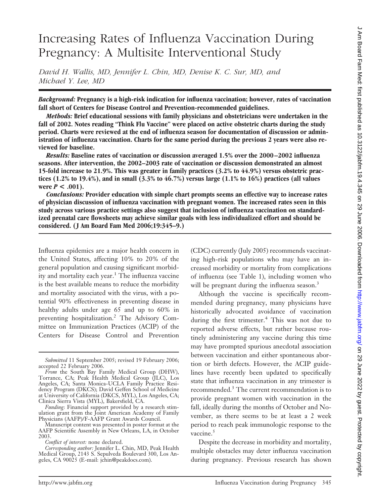# Increasing Rates of Influenza Vaccination During Pregnancy: A Multisite Interventional Study

*David H. Wallis, MD, Jennifer L. Chin, MD, Denise K. C. Sur, MD, and Michael Y. Lee, MD*

*Background:* **Pregnancy is a high-risk indication for influenza vaccination; however, rates of vaccination fall short of Centers for Disease Control and Prevention-recommended guidelines.**

*Methods:* **Brief educational sessions with family physicians and obstetricians were undertaken in the fall of 2002. Notes reading "Think Flu Vaccine" were placed on active obstetric charts during the study period. Charts were reviewed at the end of influenza season for documentation of discussion or administration of influenza vaccination. Charts for the same period during the previous 2 years were also reviewed for baseline.**

*Results:* **Baseline rates of vaccination or discussion averaged 1.5% over the 2000 –2002 influenza seasons. After intervention, the 2002–2003 rate of vaccination or discussion demonstrated an almost 15-fold increase to 21.9%. This was greater in family practices (3.2% to 44.9%) versus obstetric practices (1.2% to 19.4%), and in small (3.3% to 46.7%) versus large (1.1% to 16%) practices (all values were**  $P < .001$ .

*Conclusions:* **Provider education with simple chart prompts seems an effective way to increase rates of physician discussion of influenza vaccination with pregnant women. The increased rates seen in this study across various practice settings also suggest that inclusion of influenza vaccination on standardized prenatal care flowsheets may achieve similar goals with less individualized effort and should be considered. ( J Am Board Fam Med 2006;19:345–9.)**

Influenza epidemics are a major health concern in the United States, affecting 10% to 20% of the general population and causing significant morbidity and mortality each year.<sup>1</sup> The influenza vaccine is the best available means to reduce the morbidity and mortality associated with the virus, with a potential 90% effectiveness in preventing disease in healthy adults under age 65 and up to 60% in preventing hospitalization.2 The Advisory Committee on Immunization Practices (ACIP) of the Centers for Disease Control and Prevention

(CDC) currently (July 2005) recommends vaccinating high-risk populations who may have an increased morbidity or mortality from complications of influenza (see Table 1), including women who will be pregnant during the influenza season.<sup>3</sup>

Although the vaccine is specifically recommended during pregnancy, many physicians have historically advocated avoidance of vaccination during the first trimester.<sup>4</sup> This was not due to reported adverse effects, but rather because routinely administering any vaccine during this time may have prompted spurious anecdotal association between vaccination and either spontaneous abortion or birth defects. However, the ACIP guidelines have recently been updated to specifically state that influenza vaccination in any trimester is recommended.3 The current recommendation is to provide pregnant women with vaccination in the fall, ideally during the months of October and November, as there seems to be at least a 2 week period to reach peak immunologic response to the vaccine.<sup>5</sup>

Despite the decrease in morbidity and mortality, multiple obstacles may deter influenza vaccination during pregnancy. Previous research has shown

*Submitted* 11 September 2005; revised 19 February 2006; accepted 22 February 2006.

*From* the South Bay Family Medical Group (DHW), Torrance, CA; Peak Health Medical Group (JLC), Los Angeles, CA; Santa Monica-UCLA Family Practice Residency Program (DKCS); David Geffen School of Medicine at University of California (DKCS, MYL), Los Angeles, CA; Clinica Sierra Vista (MYL), Bakersfield, CA.

*Funding*: Financial support provided by a research stimulation grant from the Joint American Academy of Family Physicians (AAFP)/F-AAFP Grant Awards Council.

Manuscript content was presented in poster format at the AAFP Scientific Assembly in New Orleans, LA, in October 2003.

*Conflict of interest:* none declared.

*Corresponding author:* Jennifer L. Chin, MD, Peak Health Medical Group, 2143 S. Sepulveda Boulevard 300, Los Angeles, CA 90025 (E-mail: jchin@peakdocs.com).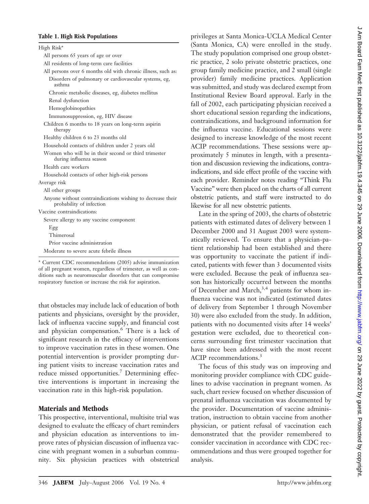### **Table 1. High Risk Populations**

| High Risk*                                                                             |
|----------------------------------------------------------------------------------------|
| All persons 65 years of age or over                                                    |
| All residents of long-term care facilities                                             |
| All persons over 6 months old with chronic illness, such as:                           |
| Disorders of pulmonary or cardiovascular systems, eg,<br>asthma                        |
| Chronic metabolic diseases, eg, diabetes mellitus                                      |
| Renal dysfunction                                                                      |
| Hemoglobinopathies                                                                     |
| Immunosuppression, eg, HIV disease                                                     |
| Children 6 months to 18 years on long-term aspirin<br>therapy                          |
| Healthy children 6 to 23 months old                                                    |
| Household contacts of children under 2 years old                                       |
| Women who will be in their second or third trimester<br>during influenza season        |
| Health care workers                                                                    |
| Household contacts of other high-risk persons                                          |
| Average risk                                                                           |
| All other groups                                                                       |
| Anyone without contraindications wishing to decrease their<br>probability of infection |
| Vaccine contraindications:                                                             |
| Severe allergy to any vaccine component                                                |
| Egg                                                                                    |
| Thimerosal                                                                             |
| Prior vaccine administration                                                           |
| Moderate to severe acute febrile illness                                               |
| * Current CDC recommendations (2005) advise immunization                               |

of all pregnant women, regardless of trimester, as well as conditions such as neuromuscular disorders that can compromise respiratory function or increase the risk for aspiration.

that obstacles may include lack of education of both patients and physicians, oversight by the provider, lack of influenza vaccine supply, and financial cost and physician compensation.6 There is a lack of significant research in the efficacy of interventions to improve vaccination rates in these women. One potential intervention is provider prompting during patient visits to increase vaccination rates and reduce missed opportunities.<sup>7</sup> Determining effective interventions is important in increasing the vaccination rate in this high-risk population.

## **Materials and Methods**

This prospective, interventional, multisite trial was designed to evaluate the efficacy of chart reminders and physician education as interventions to improve rates of physician discussion of influenza vaccine with pregnant women in a suburban community. Six physician practices with obstetrical privileges at Santa Monica-UCLA Medical Center (Santa Monica, CA) were enrolled in the study. The study population comprised one group obstetric practice, 2 solo private obstetric practices, one group family medicine practice, and 2 small (single provider) family medicine practices. Application was submitted, and study was declared exempt from Institutional Review Board approval. Early in the fall of 2002, each participating physician received a short educational session regarding the indications, contraindications, and background information for the influenza vaccine. Educational sessions were designed to increase knowledge of the most recent ACIP recommendations. These sessions were approximately 5 minutes in length, with a presentation and discussion reviewing the indications, contraindications, and side effect profile of the vaccine with each provider. Reminder notes reading "Think Flu Vaccine" were then placed on the charts of all current obstetric patients, and staff were instructed to do likewise for all new obstetric patients.

Late in the spring of 2003, the charts of obstetric patients with estimated dates of delivery between 1 December 2000 and 31 August 2003 were systematically reviewed. To ensure that a physician-patient relationship had been established and there was opportunity to vaccinate the patient if indicated, patients with fewer than 3 documented visits were excluded. Because the peak of influenza season has historically occurred between the months of December and March,<sup>3,4</sup> patients for whom influenza vaccine was not indicated (estimated dates of delivery from September 1 through November 30) were also excluded from the study. In addition, patients with no documented visits after 14 weeks' gestation were excluded, due to theoretical concerns surrounding first trimester vaccination that have since been addressed with the most recent ACIP recommendations.<sup>3</sup>

The focus of this study was on improving and monitoring provider compliance with CDC guidelines to advise vaccination in pregnant women. As such, chart review focused on whether discussion of prenatal influenza vaccination was documented by the provider. Documentation of vaccine administration, instruction to obtain vaccine from another physician, or patient refusal of vaccination each demonstrated that the provider remembered to consider vaccination in accordance with CDC recommendations and thus were grouped together for analysis.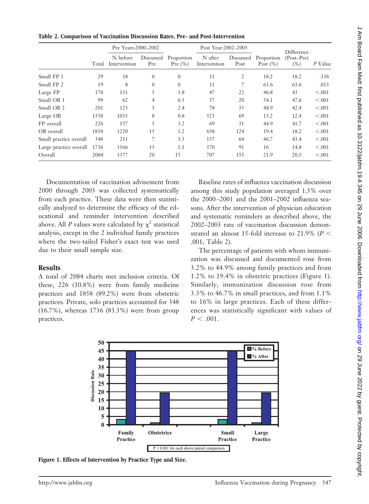|                        |       | Pre Years:2000-2002      |                  |                          | Post Year:2002-2003     |                   |                           | Difference           |         |
|------------------------|-------|--------------------------|------------------|--------------------------|-------------------------|-------------------|---------------------------|----------------------|---------|
|                        | Total | N before<br>Intervention | Discussed<br>Pre | Proportion<br>Pre $(\%)$ | N after<br>Intervention | Discussed<br>Post | Proportion<br>Post $(\%)$ | $(Post-Pre)$<br>(% ) | P Value |
| Small FP 1             | 29    | 18                       | $\overline{0}$   | $\overline{0}$           | 11                      | 2                 | 18.2                      | 18.2                 | .136    |
| Small FP 2             | 19    | 8                        | $\Omega$         | $\overline{0}$           | 11                      | 7                 | 63.6                      | 63.6                 | .013    |
| Large FP               | 178   | 131                      | 5                | 3.8                      | 47                      | 22                | 46.8                      | 43                   | < 0.001 |
| Small OB 1             | 99    | 62                       | $\overline{4}$   | 6.5                      | 37                      | 20                | 54.1                      | 47.6                 | < 0.001 |
| Small OB 2             | 201   | 123                      | 3                | 2.4                      | 78                      | 35                | 44.9                      | 42.4                 | < 0.001 |
| Large OB               | 1558  | 1035                     | 8                | 0.8                      | 523                     | 69                | 13.2                      | 12.4                 | < 0.001 |
| FP overall             | 226   | 157                      | 5                | 3.2                      | 69                      | 31                | 44.9                      | 41.7                 | < 0.001 |
| OB overall             | 1858  | 1220                     | 15               | 1.2                      | 638                     | 124               | 19.4                      | 18.2                 | < 0.001 |
| Small practice overall | 348   | 211                      | 7                | 3.3                      | 137                     | 64                | 46.7                      | 43.4                 | < 0.001 |
| Large practice overall | 1736  | 1166                     | 13               | 1.1                      | 570                     | 91                | 16                        | 14.8                 | < 0.001 |
| Overall                | 2084  | 1377                     | 20               | 15                       | 707                     | 155               | 21.9                      | 20.5                 | < 0.001 |

**Table 2. Comparison of Vaccination Discussion Rates, Pre- and Post-Intervention**

Documentation of vaccination advisement from 2000 through 2003 was collected systematically from each practice. These data were then statistically analyzed to determine the efficacy of the educational and reminder intervention described above. All *P* values were calculated by  $\chi^2$  statistical analysis, except in the 2 individual family practices where the two-tailed Fisher's exact test was used due to their small sample size.

### **Results**

A total of 2084 charts met inclusion criteria. Of these, 226 (10.8%) were from family medicine practices and 1858 (89.2%) were from obstetric practices. Private, solo practices accounted for 348 (16.7%), whereas 1736 (83.3%) were from group practices.

Baseline rates of influenza vaccination discussion among this study population averaged 1.5% over the 2000 –2001 and the 2001–2002 influenza seasons. After the intervention of physician education and systematic reminders as described above, the 2002–2003 rate of vaccination discussion demonstrated an almost 15-fold increase to 21.9% ( $P<$ .001; Table 2).

The percentage of patients with whom immunization was discussed and documented rose from 3.2% to 44.9% among family practices and from 1.2% to 19.4% in obstetric practices (Figure 1). Similarly, immunization discussion rose from 3.3% to 46.7% in small practices, and from 1.1% to 16% in large practices. Each of these differences was statistically significant with values of  $P < .001$ .



**Figure 1. Effects of Intervention by Practice Type and Size.**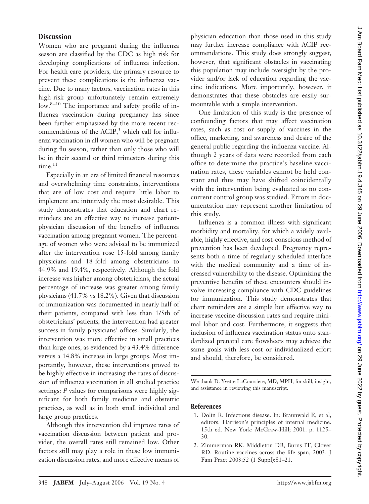## **Discussion**

Women who are pregnant during the influenza season are classified by the CDC as high risk for developing complications of influenza infection. For health care providers, the primary resource to prevent these complications is the influenza vaccine. Due to many factors, vaccination rates in this high-risk group unfortunately remain extremely low.<sup>8-10</sup> The importance and safety profile of influenza vaccination during pregnancy has since been further emphasized by the more recent recommendations of the ACIP, $3$  which call for influenza vaccination in all women who will be pregnant during flu season, rather than only those who will be in their second or third trimesters during this time.<sup>11</sup>

Especially in an era of limited financial resources and overwhelming time constraints, interventions that are of low cost and require little labor to implement are intuitively the most desirable. This study demonstrates that education and chart reminders are an effective way to increase patientphysician discussion of the benefits of influenza vaccination among pregnant women. The percentage of women who were advised to be immunized after the intervention rose 15-fold among family physicians and 18-fold among obstetricians to 44.9% and 19.4%, respectively. Although the fold increase was higher among obstetricians, the actual percentage of increase was greater among family physicians (41.7% vs 18.2%). Given that discussion of immunization was documented in nearly half of their patients, compared with less than 1/5th of obstetricians' patients, the intervention had greater success in family physicians' offices. Similarly, the intervention was more effective in small practices than large ones, as evidenced by a 43.4% difference versus a 14.8% increase in large groups. Most importantly, however, these interventions proved to be highly effective in increasing the rates of discussion of influenza vaccination in all studied practice settings: *P* values for comparisons were highly significant for both family medicine and obstetric practices, as well as in both small individual and large group practices.

Although this intervention did improve rates of vaccination discussion between patient and provider, the overall rates still remained low. Other factors still may play a role in these low immunization discussion rates, and more effective means of

physician education than those used in this study may further increase compliance with ACIP recommendations. This study does strongly suggest, however, that significant obstacles in vaccinating this population may include oversight by the provider and/or lack of education regarding the vaccine indications. More importantly, however, it demonstrates that these obstacles are easily surmountable with a simple intervention.

One limitation of this study is the presence of confounding factors that may affect vaccination rates, such as cost or supply of vaccines in the office, marketing, and awareness and desire of the general public regarding the influenza vaccine. Although 2 years of data were recorded from each office to determine the practice's baseline vaccination rates, these variables cannot be held constant and thus may have shifted coincidentally with the intervention being evaluated as no concurrent control group was studied. Errors in documentation may represent another limitation of this study.

Influenza is a common illness with significant morbidity and mortality, for which a widely available, highly effective, and cost-conscious method of prevention has been developed. Pregnancy represents both a time of regularly scheduled interface with the medical community and a time of increased vulnerability to the disease. Optimizing the preventive benefits of these encounters should involve increasing compliance with CDC guidelines for immunization. This study demonstrates that chart reminders are a simple but effective way to increase vaccine discussion rates and require minimal labor and cost. Furthermore, it suggests that inclusion of influenza vaccination status onto standardized prenatal care flowsheets may achieve the same goals with less cost or individualized effort and should, therefore, be considered.

We thank D. Yvette LaCoursiere, MD, MPH, for skill, insight, and assistance in reviewing this manuscript.

#### **References**

- 1. Dolin R. Infectious disease. In: Braunwald E, et al, editors. Harrison's principles of internal medicine. 15th ed. New York: McGraw-Hill; 2001. p. 1125– 30.
- 2. Zimmerman RK, Middleton DB, Burns IT, Clover RD. Routine vaccines across the life span, 2003. J Fam Pract 2003;52 (1 Suppl):S1–21.